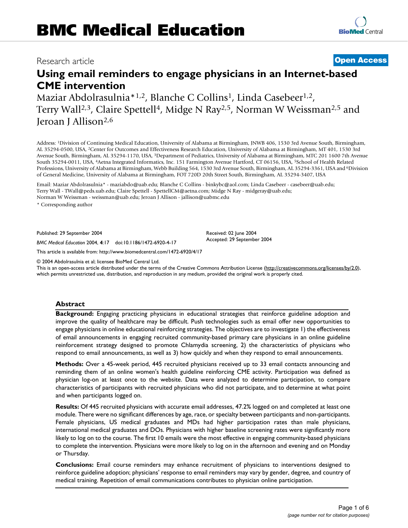# Research article **[Open Access](http://www.biomedcentral.com/info/about/charter/)**

# **Using email reminders to engage physicians in an Internet-based CME intervention**

Maziar Abdolrasulnia\*1,2, Blanche C Collins<sup>1</sup>, Linda Casebeer<sup>1,2</sup>, Terry Wall<sup>2,3</sup>, Claire Spettell<sup>4</sup>, Midge N Ray<sup>2,5</sup>, Norman W Weissman<sup>2,5</sup> and Jeroan J Allison2,6

Address: 1Division of Continuing Medical Education, University of Alabama at Birmingham, JNWB 406, 1530 3rd Avenue South, Birmingham, AL 35294-0500, USA, 2Center for Outcomes and Effectiveness Research Education, University of Alabama at Birmingham, MT 401, 1530 3rd Avenue South, Birmingham, AL 35294-1170, USA, 3Department of Pediatrics, University of Alabama at Birmingham, MTC 201 1600 7th Avenue South 35294-0011, USA, 4Aetna Integrated Informatics, Inc. 151 Farmington Avenue Hartford, CT 06156, USA, 5School of Health Related Professions, University of Alabama at Birmingham, Webb Building 564, 1530 3rd Avenue South, Birmingham, AL 35294-3361, USA and <sup>6</sup>Division of General Medicine, University of Alabama at Birmingham, FOT 720D 20th Street South, Birmingham, AL 35294-3407, USA

Email: Maziar Abdolrasulnia\* - maziabdo@uab.edu; Blanche C Collins - binkybc@aol.com; Linda Casebeer - casebeer@uab.edu; Terry Wall - TWall@peds.uab.edu; Claire Spettell - SpettellCM@aetna.com; Midge N Ray - midgeray@uab.edu; Norman W Weissman - weissman@uab.edu; Jeroan J Allison - jallison@uabmc.edu

\* Corresponding author

Published: 29 September 2004

*BMC Medical Education* 2004, **4**:17 doi:10.1186/1472-6920-4-17

[This article is available from: http://www.biomedcentral.com/1472-6920/4/17](http://www.biomedcentral.com/1472-6920/4/17)

© 2004 Abdolrasulnia et al; licensee BioMed Central Ltd.

This is an open-access article distributed under the terms of the Creative Commons Attribution License (<http://creativecommons.org/licenses/by/2.0>), which permits unrestricted use, distribution, and reproduction in any medium, provided the original work is properly cited.

# **Abstract**

**Background:** Engaging practicing physicians in educational strategies that reinforce guideline adoption and improve the quality of healthcare may be difficult. Push technologies such as email offer new opportunities to engage physicians in online educational reinforcing strategies. The objectives are to investigate 1) the effectiveness of email announcements in engaging recruited community-based primary care physicians in an online guideline reinforcement strategy designed to promote Chlamydia screening, 2) the characteristics of physicians who respond to email announcements, as well as 3) how quickly and when they respond to email announcements.

**Methods:** Over a 45-week period, 445 recruited physicians received up to 33 email contacts announcing and reminding them of an online women's health guideline reinforcing CME activity. Participation was defined as physician log-on at least once to the website. Data were analyzed to determine participation, to compare characteristics of participants with recruited physicians who did not participate, and to determine at what point and when participants logged on.

**Results:** Of 445 recruited physicians with accurate email addresses, 47.2% logged on and completed at least one module. There were no significant differences by age, race, or specialty between participants and non-participants. Female physicians, US medical graduates and MDs had higher participation rates than male physicians, international medical graduates and DOs. Physicians with higher baseline screening rates were significantly more likely to log on to the course. The first 10 emails were the most effective in engaging community-based physicians to complete the intervention. Physicians were more likely to log on in the afternoon and evening and on Monday or Thursday.

**Conclusions:** Email course reminders may enhance recruitment of physicians to interventions designed to reinforce guideline adoption; physicians' response to email reminders may vary by gender, degree, and country of medical training. Repetition of email communications contributes to physician online participation.

Received: 02 June 2004 Accepted: 29 September 2004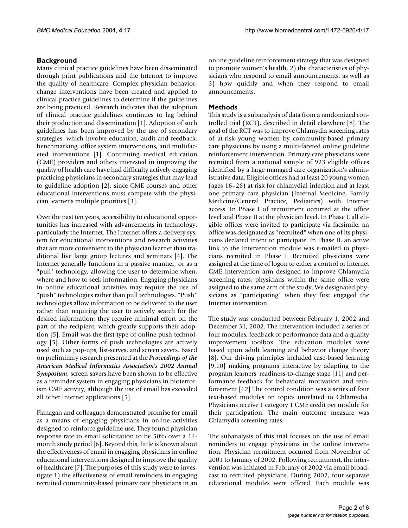# **Background**

Many clinical practice guidelines have been disseminated through print publications and the Internet to improve the quality of healthcare. Complex physician behaviorchange interventions have been created and applied to clinical practice guidelines to determine if the guidelines are being practiced. Research indicates that the adoption of clinical practice guidelines continues to lag behind their production and dissemination [1]. Adoption of such guidelines has been improved by the use of secondary strategies, which involve education, audit and feedback, benchmarking, office system interventions, and multifaceted interventions [1]. Continuing medical education (CME) providers and others interested in improving the quality of health care have had difficulty actively engaging practicing physicians in secondary strategies that may lead to guideline adoption [2], since CME courses and other educational interventions must compete with the physician learner's multiple priorities [3].

Over the past ten years, accessibility to educational opportunities has increased with advancements in technology, particularly the Internet. The Internet offers a delivery system for educational interventions and research activities that are more convenient to the physician learner than traditional live large group lectures and seminars [4]. The Internet generally functions in a passive manner, or as a "pull" technology, allowing the user to determine when, where and how to seek information. Engaging physicians in online educational activities may require the use of "push" technologies rather than pull technologies. "Push" technologies allow information to be delivered to the user rather than requiring the user to actively search for the desired information; they require minimal effort on the part of the recipient, which greatly supports their adoption [5]. Email was the first type of online push technology [5]. Other forms of push technologies are actively used such as pop-ups, list-serves, and screen savers. Based on preliminary research presented at the *Proceedings of the American Medical Informatics Association's 2002 Annual Symposium*, screen savers have been shown to be effective as a reminder system in engaging physicians in bioterrorism CME activity, although the use of email has exceeded all other Internet applications [5].

Flanagan and colleagues demonstrated promise for email as a means of engaging physicians in online activities designed to reinforce guideline use. They found physician response rate to email solicitation to be 50% over a 14 month study period [6]. Beyond this, little is known about the effectiveness of email in engaging physicians in online educational interventions designed to improve the quality of healthcare [7]. The purposes of this study were to investigate 1) the effectiveness of email reminders in engaging recruited community-based primary care physicians in an

online guideline reinforcement strategy that was designed to promote women's health, 2) the characteristics of physicians who respond to email announcements, as well as 3) how quickly and when they respond to email announcements.

# **Methods**

This study is a subanalysis of data from a randomized controlled trial (RCT), described in detail elsewhere [8]. The goal of the RCT was to improve Chlamydia screening rates of at-risk young women by community-based primary care physicians by using a multi-faceted online guideline reinforcement intervention. Primary care physicians were recruited from a national sample of 923 eligible offices identified by a large managed care organization's administrative data. Eligible offices had at least 20 young women (ages 16–26) at risk for chlamydial infection and at least one primary care physician (Internal Medicine, Family Medicine/General Practice, Pediatrics) with Internet access. In Phase I of recruitment occurred at the office level and Phase II at the physician level. In Phase I, all eligible offices were invited to participate via facsimile; an office was designated as "recruited" when one of its physicians declared intent to participate. In Phase II, an active link to the Intervention module was e-mailed to physicians recruited in Phase I. Recruited physicians were assigned at the time of logon to either a control or Internet CME intervention arm designed to improve Chlamydia screening rates; physicians within the same office were assigned to the same arm of the study. We designated physicians as "participating" when they first engaged the Internet intervention.

The study was conducted between February 1, 2002 and December 31, 2002. The intervention included a series of four modules, feedback of performance data and a quality improvement toolbox. The education modules were based upon adult learning and behavior change theory [8]. Our driving principles included case-based learning [9,10] making programs interactive by adapting to the program learners' readiness-to-change stage [11] and performance feedback for behavioral motivation and reinforcement [12] The control condition was a series of four text-based modules on topics unrelated to Chlamydia. Physicians receive 1 category 1 CME credit per module for their participation. The main outcome measure was Chlamydia screening rates.

The subanalysis of this trial focuses on the use of email reminders to engage physicians in the online intervention. Physician recruitment occurred from November of 2001 to January of 2002. Following recruitment, the intervention was initiated in February of 2002 via email broadcast to recruited physicians. During 2002, four separate educational modules were offered. Each module was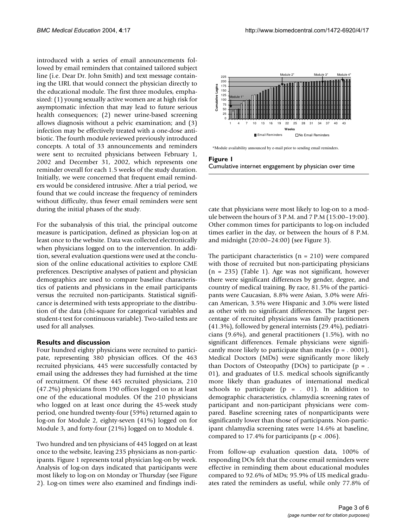introduced with a series of email announcements followed by email reminders that contained tailored subject line (i.e. Dear Dr. John Smith) and text message containing the URL that would connect the physician directly to the educational module. The first three modules, emphasized: (1) young sexually active women are at high risk for asymptomatic infection that may lead to future serious health consequences; (2) newer urine-based screening allows diagnosis without a pelvic examination; and (3) infection may be effectively treated with a one-dose antibiotic. The fourth module reviewed previously introduced concepts. A total of 33 announcements and reminders were sent to recruited physicians between February 1, 2002 and December 31, 2002, which represents one reminder overall for each 1.5 weeks of the study duration. Initially, we were concerned that frequent email reminders would be considered intrusive. After a trial period, we found that we could increase the frequency of reminders without difficulty, thus fewer email reminders were sent during the initial phases of the study.

For the subanalysis of this trial, the principal outcome measure is participation, defined as physician log-on at least once to the website. Data was collected electronically when physicians logged on to the intervention. In addition, several evaluation questions were used at the conclusion of the online educational activities to explore CME preferences. Descriptive analyses of patient and physician demographics are used to compare baseline characteristics of patients and physicians in the email participants versus the recruited non-participants. Statistical significance is determined with tests appropriate to the distribution of the data (chi-square for categorical variables and student-t test for continuous variable). Two-tailed tests are used for all analyses.

# **Results and discussion**

Four hundred eighty physicians were recruited to participate, representing 380 physician offices. Of the 463 recruited physicians, 445 were successfully contacted by email using the addresses they had furnished at the time of recruitment. Of these 445 recruited physicians, 210 (47.2%) physicians from 190 offices logged on to at least one of the educational modules. Of the 210 physicians who logged on at least once during the 45-week study period, one hundred twenty-four (59%) returned again to log-on for Module 2, eighty-seven (41%) logged on for Module 3, and forty-four (21%) logged on to Module 4.

Two hundred and ten physicians of 445 logged on at least once to the website, leaving 235 physicians as non-participants. Figure 1 represents total physician log-on by week. Analysis of log-on days indicated that participants were most likely to log-on on Monday or Thursday (see Figure 2). Log-on times were also examined and findings indi-



\*Module availability announced by e-mail prior to sending email reminders.



cate that physicians were most likely to log-on to a module between the hours of 3 P.M. and 7 P.M (15:00–19:00). Other common times for participants to log-on included times earlier in the day, or between the hours of 8 P.M. and midnight (20:00–24:00) (see Figure 3).

The participant characteristics  $(n = 210)$  were compared with those of recruited but non-participating physicians (n = 235) (Table [1](#page-4-0)). Age was not significant, however there were significant differences by gender, degree, and country of medical training. By race, 81.5% of the participants were Caucasian, 8.8% were Asian, 3.0% were African American, 3.5% were Hispanic and 3.0% were listed as other with no significant differences. The largest percentage of recruited physicians was family practitioners (41.3%), followed by general internists (29.4%), pediatricians (9.6%), and general practitioners (1.5%), with no significant differences. Female physicians were significantly more likely to participate than males ( $p = 0.0001$ ), Medical Doctors (MDs) were significantly more likely than Doctors of Osteopathy (DOs) to participate ( $p =$ . 01), and graduates of U.S. medical schools significantly more likely than graduates of international medical schools to participate  $(p = . 01)$ . In addition to demographic characteristics, chlamydia screening rates of participant and non-participant physicians were compared. Baseline screening rates of nonparticipants were significantly lower than those of participants. Non-participant chlamydia screening rates were 14.6% at baseline, compared to 17.4% for participants (p < .006).

From follow-up evaluation question data, 100% of responding DOs felt that the course email reminders were effective in reminding them about educational modules compared to 92.6% of MDs; 95.9% of US medical graduates rated the reminders as useful, while only 77.8% of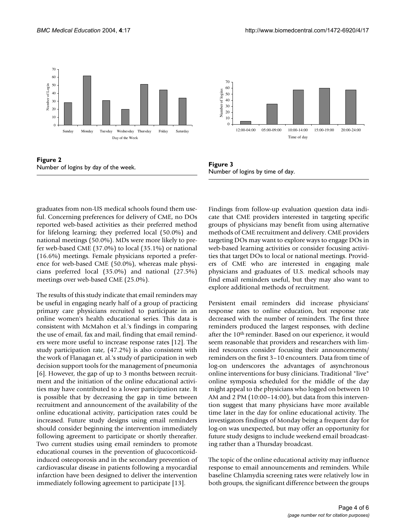

**Figure 2** Number of logins by day of the week.

graduates from non-US medical schools found them useful. Concerning preferences for delivery of CME, no DOs reported web-based activities as their preferred method for lifelong learning; they preferred local (50.0%) and national meetings (50.0%). MDs were more likely to prefer web-based CME (37.0%) to local (35.1%) or national (16.6%) meetings. Female physicians reported a preference for web-based CME (50.0%), whereas male physicians preferred local (35.0%) and national (27.5%) meetings over web-based CME (25.0%).

The results of this study indicate that email reminders may be useful in engaging nearly half of a group of practicing primary care physicians recruited to participate in an online women's health educational series. This data is consistent with McMahon et al.'s findings in comparing the use of email, fax and mail, finding that email reminders were more useful to increase response rates [12]. The study participation rate, (47.2%) is also consistent with the work of Flanagan et. al.'s study of participation in web decision support tools for the management of pneumonia [6]. However, the gap of up to 3 months between recruitment and the initiation of the online educational activities may have contributed to a lower participation rate. It is possible that by decreasing the gap in time between recruitment and announcement of the availability of the online educational activity, participation rates could be increased. Future study designs using email reminders should consider beginning the intervention immediately following agreement to participate or shortly thereafter. Two current studies using email reminders to promote educational courses in the prevention of glucocorticoidinduced osteoporosis and in the secondary prevention of cardiovascular disease in patients following a myocardial infarction have been designed to deliver the intervention immediately following agreement to participate [13].



**Figure 3** Number of logins by time of day.

Findings from follow-up evaluation question data indicate that CME providers interested in targeting specific groups of physicians may benefit from using alternative methods of CME recruitment and delivery. CME providers targeting DOs may want to explore ways to engage DOs in web-based learning activities or consider focusing activities that target DOs to local or national meetings. Providers of CME who are interested in engaging male physicians and graduates of U.S. medical schools may find email reminders useful, but they may also want to explore additional methods of recruitment.

Persistent email reminders did increase physicians' response rates to online education, but response rate decreased with the number of reminders. The first three reminders produced the largest responses, with decline after the 10th reminder. Based on our experience, it would seem reasonable that providers and researchers with limited resources consider focusing their announcements/ reminders on the first 3–10 encounters. Data from time of log-on underscores the advantages of asynchronous online interventions for busy clinicians. Traditional "live" online symposia scheduled for the middle of the day might appeal to the physicians who logged on between 10 AM and 2 PM (10:00–14:00), but data from this intervention suggest that many physicians have more available time later in the day for online educational activity. The investigators findings of Monday being a frequent day for log-on was unexpected, but may offer an opportunity for future study designs to include weekend email broadcasting rather than a Thursday broadcast.

The topic of the online educational activity may influence response to email announcements and reminders. While baseline Chlamydia screening rates were relatively low in both groups, the significant difference between the groups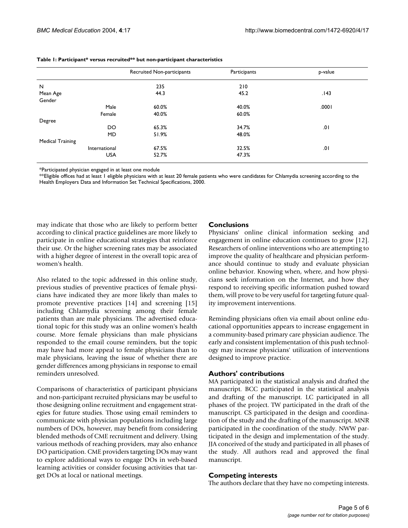|                         | Recruited Non-participants | Participants | p-value |
|-------------------------|----------------------------|--------------|---------|
| $\mathsf{N}$            | 235                        | 210          |         |
| Mean Age                | 44.3                       | 45.2         | .143    |
| Gender                  |                            |              |         |
| Male                    | 60.0%                      | 40.0%        | .0001   |
| Female                  | 40.0%                      | 60.0%        |         |
| Degree                  |                            |              |         |
| DO                      | 65.3%                      | 34.7%        | .01     |
| <b>MD</b>               | 51.9%                      | 48.0%        |         |
| <b>Medical Training</b> |                            |              |         |
| International           | 67.5%                      | 32.5%        | .01     |
| <b>USA</b>              | 52.7%                      | 47.3%        |         |

### <span id="page-4-0"></span>**Table 1: Participant\* versus recruited\*\* but non-participant characteristics**

\*Participated physician engaged in at least one module

\*\*Eligible offices had at least 1 eligible physicians with at least 20 female patients who were candidates for Chlamydia screening according to the Health Employers Data and Information Set Technical Specifications, 2000.

may indicate that those who are likely to perform better according to clinical practice guidelines are more likely to participate in online educational strategies that reinforce their use. Or the higher screening rates may be associated with a higher degree of interest in the overall topic area of women's health.

Also related to the topic addressed in this online study, previous studies of preventive practices of female physicians have indicated they are more likely than males to promote preventive practices [14] and screening [15] including Chlamydia screening among their female patients than are male physicians. The advertised educational topic for this study was an online women's health course. More female physicians than male physicians responded to the email course reminders, but the topic may have had more appeal to female physicians than to male physicians, leaving the issue of whether there are gender differences among physicians in response to email reminders unresolved.

Comparisons of characteristics of participant physicians and non-participant recruited physicians may be useful to those designing online recruitment and engagement strategies for future studies. Those using email reminders to communicate with physician populations including large numbers of DOs, however, may benefit from considering blended methods of CME recruitment and delivery. Using various methods of reaching providers, may also enhance DO participation. CME providers targeting DOs may want to explore additional ways to engage DOs in web-based learning activities or consider focusing activities that target DOs at local or national meetings.

# **Conclusions**

Physicians' online clinical information seeking and engagement in online education continues to grow [12]. Researchers of online interventions who are attempting to improve the quality of healthcare and physician performance should continue to study and evaluate physician online behavior. Knowing when, where, and how physicians seek information on the Internet, and how they respond to receiving specific information pushed toward them, will prove to be very useful for targeting future quality improvement interventions.

Reminding physicians often via email about online educational opportunities appears to increase engagement in a community-based primary care physician audience. The early and consistent implementation of this push technology may increase physicians' utilization of interventions designed to improve practice.

# **Authors' contributions**

MA participated in the statistical analysis and drafted the manuscript. BCC participated in the statistical analysis and drafting of the manuscript. LC participated in all phases of the project. TW participated in the draft of the manuscript. CS participated in the design and coordination of the study and the drafting of the manuscript. MNR participated in the coordination of the study. NWW participated in the design and implementation of the study. JJA conceived of the study and participated in all phases of the study. All authors read and approved the final manuscript.

# **Competing interests**

The authors declare that they have no competing interests.